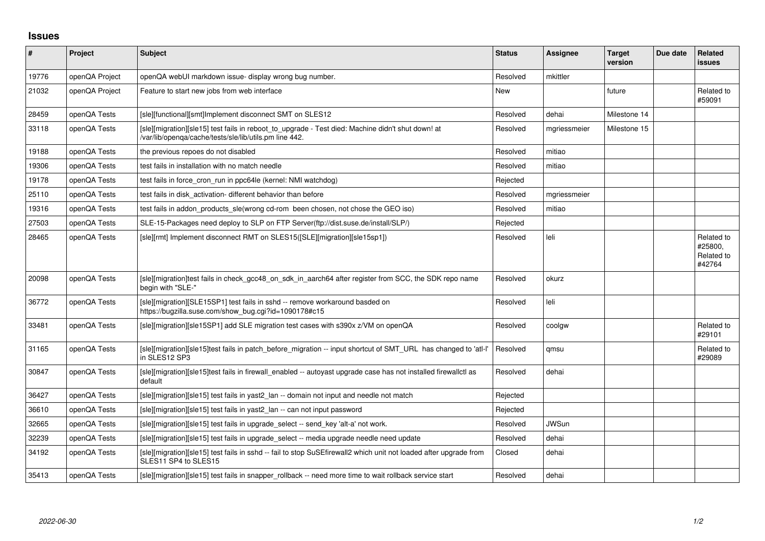## **Issues**

| $\pmb{\#}$ | Project        | Subject                                                                                                                                                     | <b>Status</b> | <b>Assignee</b> | <b>Target</b><br>version | Due date | Related<br><b>issues</b>                      |
|------------|----------------|-------------------------------------------------------------------------------------------------------------------------------------------------------------|---------------|-----------------|--------------------------|----------|-----------------------------------------------|
| 19776      | openQA Project | openQA webUI markdown issue- display wrong bug number.                                                                                                      | Resolved      | mkittler        |                          |          |                                               |
| 21032      | openQA Project | Feature to start new jobs from web interface                                                                                                                | New           |                 | future                   |          | Related to<br>#59091                          |
| 28459      | openQA Tests   | [sle][functional][smt]Implement disconnect SMT on SLES12                                                                                                    | Resolved      | dehai           | Milestone 14             |          |                                               |
| 33118      | openQA Tests   | [sle][migration][sle15] test fails in reboot_to_upgrade - Test died: Machine didn't shut down! at<br>/var/lib/openqa/cache/tests/sle/lib/utils.pm line 442. | Resolved      | mgriessmeier    | Milestone 15             |          |                                               |
| 19188      | openQA Tests   | the previous repoes do not disabled                                                                                                                         | Resolved      | mitiao          |                          |          |                                               |
| 19306      | openQA Tests   | test fails in installation with no match needle                                                                                                             | Resolved      | mitiao          |                          |          |                                               |
| 19178      | openQA Tests   | test fails in force_cron_run in ppc64le (kernel: NMI watchdog)                                                                                              | Rejected      |                 |                          |          |                                               |
| 25110      | openQA Tests   | test fails in disk_activation- different behavior than before                                                                                               | Resolved      | mgriessmeier    |                          |          |                                               |
| 19316      | openQA Tests   | test fails in addon products sle(wrong cd-rom been chosen, not chose the GEO iso)                                                                           | Resolved      | mitiao          |                          |          |                                               |
| 27503      | openQA Tests   | SLE-15-Packages need deploy to SLP on FTP Server(ftp://dist.suse.de/install/SLP/)                                                                           | Rejected      |                 |                          |          |                                               |
| 28465      | openQA Tests   | [sle][rmt] Implement disconnect RMT on SLES15([SLE][migration][sle15sp1])                                                                                   | Resolved      | leli            |                          |          | Related to<br>#25800.<br>Related to<br>#42764 |
| 20098      | openQA Tests   | [sle][migration]test fails in check_gcc48_on_sdk_in_aarch64 after register from SCC, the SDK repo name<br>begin with "SLE-"                                 | Resolved      | okurz           |                          |          |                                               |
| 36772      | openQA Tests   | [sle][migration][SLE15SP1] test fails in sshd -- remove workaround basded on<br>https://bugzilla.suse.com/show_bug.cgi?id=1090178#c15                       | Resolved      | leli            |                          |          |                                               |
| 33481      | openQA Tests   | [sle][migration][sle15SP1] add SLE migration test cases with s390x z/VM on openQA                                                                           | Resolved      | coolgw          |                          |          | Related to<br>#29101                          |
| 31165      | openQA Tests   | [sle][migration][sle15]test fails in patch_before_migration -- input shortcut of SMT_URL has changed to 'atl-l'<br>in SLES12 SP3                            | Resolved      | qmsu            |                          |          | Related to<br>#29089                          |
| 30847      | openQA Tests   | [sle][migration][sle15]test fails in firewall_enabled -- autoyast upgrade case has not installed firewallctl as<br>default                                  | Resolved      | dehai           |                          |          |                                               |
| 36427      | openQA Tests   | [sle][migration][sle15] test fails in yast2_lan -- domain not input and needle not match                                                                    | Rejected      |                 |                          |          |                                               |
| 36610      | openQA Tests   | [sle][migration][sle15] test fails in yast2_lan -- can not input password                                                                                   | Rejected      |                 |                          |          |                                               |
| 32665      | openQA Tests   | [sle][migration][sle15] test fails in upgrade select -- send key 'alt-a' not work.                                                                          | Resolved      | <b>JWSun</b>    |                          |          |                                               |
| 32239      | openQA Tests   | [sle][migration][sle15] test fails in upgrade_select -- media upgrade needle need update                                                                    | Resolved      | dehai           |                          |          |                                               |
| 34192      | openQA Tests   | [sle][migration][sle15] test fails in sshd -- fail to stop SuSEfirewall2 which unit not loaded after upgrade from<br>SLES11 SP4 to SLES15                   | Closed        | dehai           |                          |          |                                               |
| 35413      | openQA Tests   | [sle][migration][sle15] test fails in snapper_rollback -- need more time to wait rollback service start                                                     | Resolved      | dehai           |                          |          |                                               |